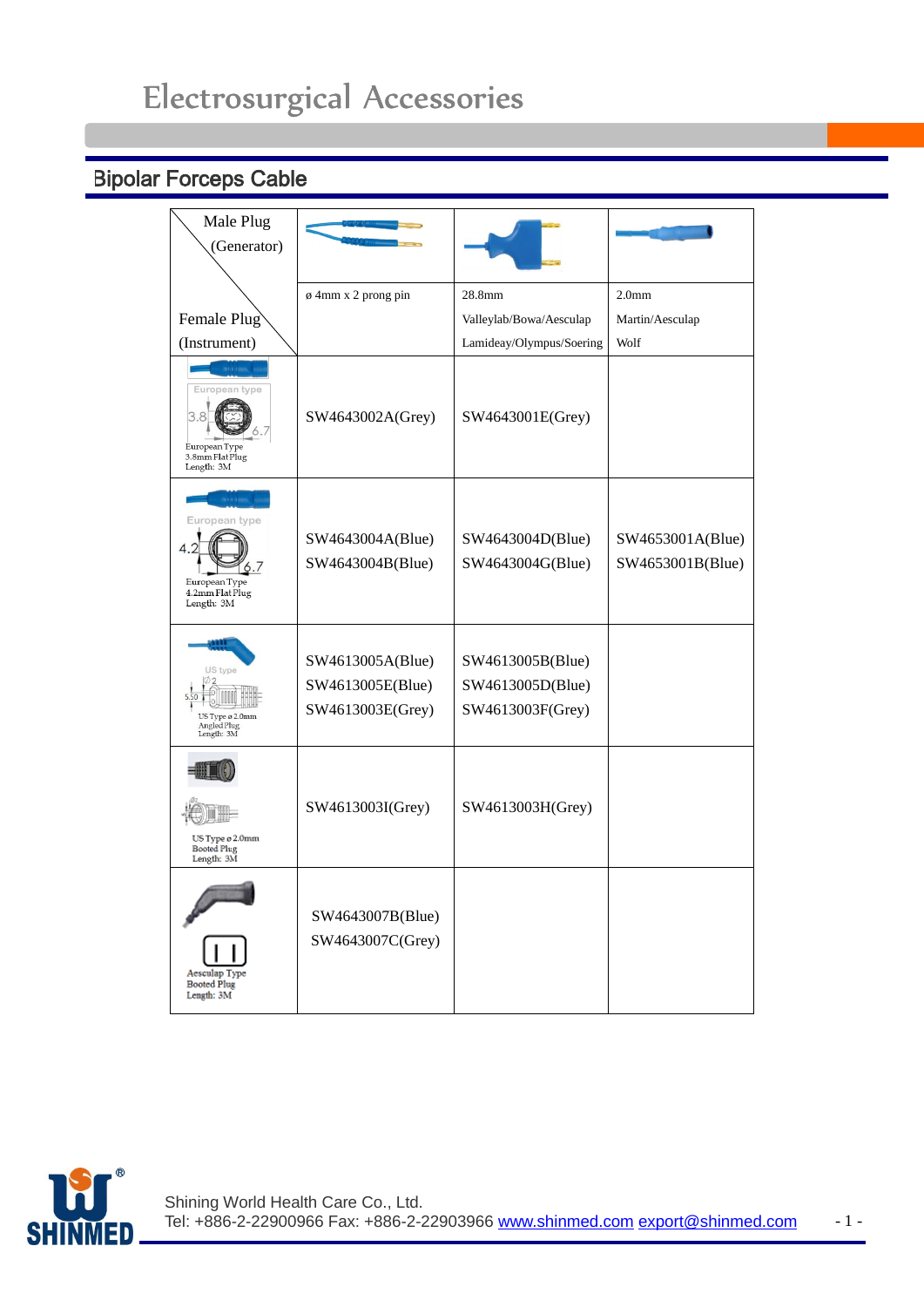## Electrosurgical Accessories

## Bipolar Forceps Cable

| Male Plug<br>(Generator)                                        |                                                          |                                                          |                                      |
|-----------------------------------------------------------------|----------------------------------------------------------|----------------------------------------------------------|--------------------------------------|
|                                                                 | $\phi$ 4mm x 2 prong pin                                 | 28.8mm                                                   | 2.0 <sub>mm</sub>                    |
| Female Plug                                                     |                                                          | Valleylab/Bowa/Aesculap                                  | Martin/Aesculap                      |
| (Instrument)                                                    |                                                          | Lamideay/Olympus/Soering                                 | Wolf                                 |
| European type<br>European Type<br>3.8mm Flat Plug<br>Length: 3M | SW4643002A(Grey)                                         | SW4643001E(Grey)                                         |                                      |
| uropean type<br>European Type<br>4.2mm Flat Plug<br>Length: 3M  | SW4643004A(Blue)<br>SW4643004B(Blue)                     | SW4643004D(Blue)<br>SW4643004G(Blue)                     | SW4653001A(Blue)<br>SW4653001B(Blue) |
| US type<br>US Type ø 2.0mm<br>Angled Plug<br>Length: 3M         | SW4613005A(Blue)<br>SW4613005E(Blue)<br>SW4613003E(Grey) | SW4613005B(Blue)<br>SW4613005D(Blue)<br>SW4613003F(Grey) |                                      |
| US Type ø 2.0mm<br>Booted Plug<br>Length: 3M                    | SW4613003I(Grey)                                         | SW4613003H(Grey)                                         |                                      |
| Aesculap Type<br><b>Booted Plug</b><br>Length: 3M               | SW4643007B(Blue)<br>SW4643007C(Grey)                     |                                                          |                                      |

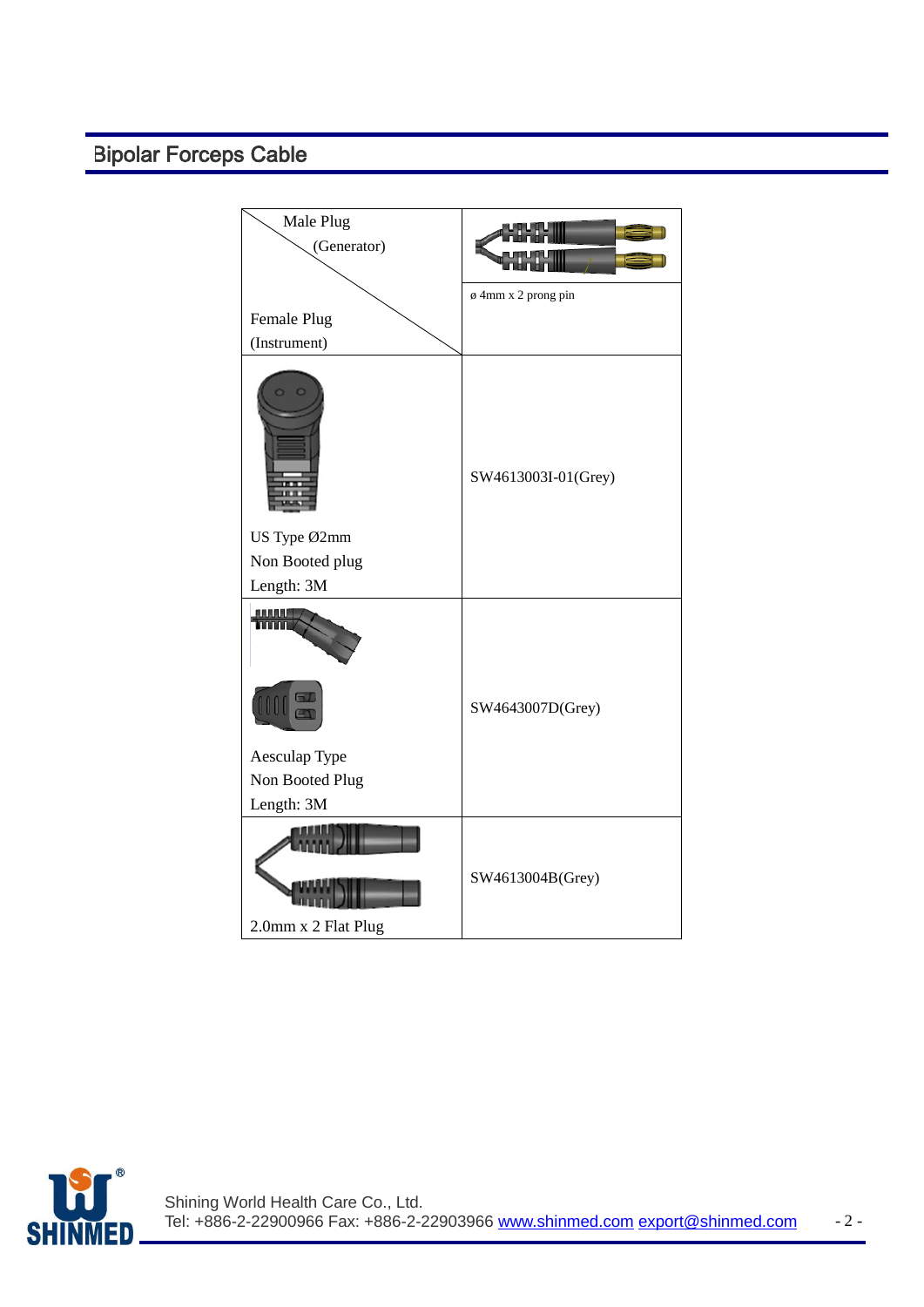## Bipolar Forceps Cable

| Male Plug<br>(Generator)      |                     |
|-------------------------------|---------------------|
|                               | ø 4mm x 2 prong pin |
| Female Plug<br>(Instrument)   |                     |
|                               | SW4613003I-01(Grey) |
| US Type Ø2mm                  |                     |
| Non Booted plug<br>Length: 3M |                     |
| AUUUU                         | SW4643007D(Grey)    |
| Aesculap Type                 |                     |
| Non Booted Plug<br>Length: 3M |                     |
| 2.0mm x 2 Flat Plug           | SW4613004B(Grey)    |

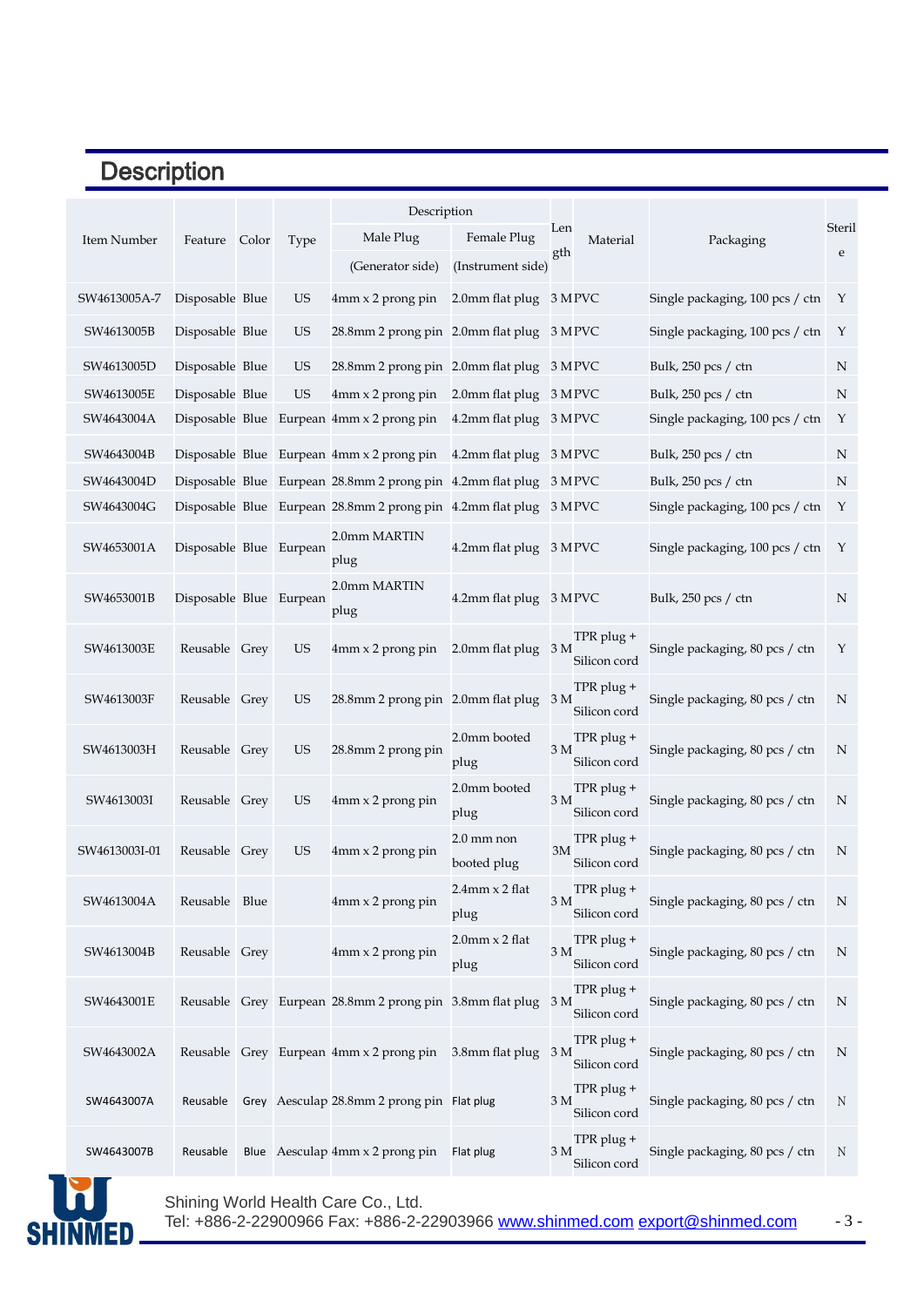## **Description**

|               | Description             |  |           |                                                            |                             |                |                            |                                 |             |
|---------------|-------------------------|--|-----------|------------------------------------------------------------|-----------------------------|----------------|----------------------------|---------------------------------|-------------|
| Item Number   | Feature Color           |  | Type      | Male Plug                                                  | Female Plug                 | Len            | Material                   | Packaging                       | Steril      |
|               |                         |  |           | (Generator side)                                           | (Instrument side)           | gth            |                            |                                 | $\mathbf e$ |
| SW4613005A-7  | Disposable Blue         |  | <b>US</b> | $4mm \times 2$ prong pin                                   | 2.0mm flat plug             |                | 3 MPVC                     | Single packaging, 100 pcs / ctn | Y           |
| SW4613005B    | Disposable Blue         |  | <b>US</b> | 28.8mm 2 prong pin 2.0mm flat plug                         |                             |                | 3 MPVC                     | Single packaging, 100 pcs / ctn | Y           |
| SW4613005D    | Disposable Blue         |  | <b>US</b> | 28.8mm 2 prong pin 2.0mm flat plug                         |                             |                | 3 MPVC                     | Bulk, 250 pcs / ctn             | ${\rm N}$   |
| SW4613005E    | Disposable Blue         |  | <b>US</b> | 4mm x 2 prong pin                                          | 2.0mm flat plug             |                | 3 MPVC                     | Bulk, 250 pcs / ctn             | N           |
| SW4643004A    |                         |  |           | Disposable Blue Eurpean $4mm \times 2$ prong pin           | 4.2mm flat plug             |                | 3 MPVC                     | Single packaging, 100 pcs / ctn | Y           |
| SW4643004B    |                         |  |           | Disposable Blue Eurpean 4mm x 2 prong pin                  | 4.2mm flat plug             |                | 3 MPVC                     | Bulk, 250 pcs / ctn             | N           |
| SW4643004D    |                         |  |           | Disposable Blue Eurpean 28.8mm 2 prong pin 4.2mm flat plug |                             |                | 3 MPVC                     | Bulk, 250 pcs / ctn             | N           |
| SW4643004G    |                         |  |           | Disposable Blue Eurpean 28.8mm 2 prong pin 4.2mm flat plug |                             |                | 3 MPVC                     | Single packaging, 100 pcs / ctn | Υ           |
| SW4653001A    | Disposable Blue Eurpean |  |           | 2.0mm MARTIN<br>plug                                       | 4.2mm flat plug             |                | 3 MPVC                     | Single packaging, 100 pcs / ctn | Y           |
| SW4653001B    | Disposable Blue Eurpean |  |           | 2.0mm MARTIN<br>plug                                       | 4.2mm flat plug 3 M PVC     |                |                            | Bulk, 250 pcs / ctn             | N           |
| SW4613003E    | Reusable Grey           |  | <b>US</b> | $4mm \times 2$ prong pin                                   | 2.0mm flat plug             | 3 M            | TPR plug +<br>Silicon cord | Single packaging, 80 pcs / ctn  | Υ           |
| SW4613003F    | Reusable Grey           |  | <b>US</b> | 28.8mm 2 prong pin 2.0mm flat plug                         |                             | 3 <sub>M</sub> | TPR plug +<br>Silicon cord | Single packaging, 80 pcs / ctn  | N           |
| SW4613003H    | Reusable Grey           |  | <b>US</b> | 28.8mm 2 prong pin                                         | 2.0mm booted<br>plug        | 3 <sub>M</sub> | TPR plug +<br>Silicon cord | Single packaging, 80 pcs / ctn  | N           |
| SW4613003I    | Reusable Grey           |  | US        | 4mm x 2 prong pin                                          | 2.0mm booted<br>plug        | 3 <sub>M</sub> | TPR plug +<br>Silicon cord | Single packaging, 80 pcs / ctn  | N           |
| SW4613003I-01 | Reusable Grey           |  | <b>US</b> | 4mm x 2 prong pin                                          | 2.0 mm non<br>booted plug   | 3M             | TPR plug +<br>Silicon cord | Single packaging, 80 pcs / ctn  | N           |
| SW4613004A    | Reusable Blue           |  |           | 4mm x 2 prong pin                                          | 2.4mm x 2 flat<br>plug      | 3 M            | TPR plug +<br>Silicon cord | Single packaging, 80 pcs / ctn  | N           |
| SW4613004B    | Reusable Grey           |  |           | 4mm x 2 prong pin                                          | $2.0$ mm $x 2$ flat<br>plug | 3 M            | TPR plug +<br>Silicon cord | Single packaging, 80 pcs / ctn  | N           |
| SW4643001E    |                         |  |           | Reusable Grey Eurpean 28.8mm 2 prong pin 3.8mm flat plug   |                             | 3 M            | TPR plug +<br>Silicon cord | Single packaging, 80 pcs / ctn  | $\mathbf N$ |
| SW4643002A    |                         |  |           | Reusable Grey Eurpean 4mm x 2 prong pin                    | 3.8mm flat plug             | 3 <sub>M</sub> | TPR plug +<br>Silicon cord | Single packaging, 80 pcs / ctn  | $\mathbf N$ |
| SW4643007A    | Reusable                |  |           | Grey Aesculap 28.8mm 2 prong pin Flat plug                 |                             | 3 M            | TPR plug +<br>Silicon cord | Single packaging, 80 pcs / ctn  | $\rm N$     |
| SW4643007B    | Reusable                |  |           | Blue Aesculap 4mm x 2 prong pin                            | Flat plug                   | 3 M            | TPR plug +<br>Silicon cord | Single packaging, 80 pcs / ctn  | N           |